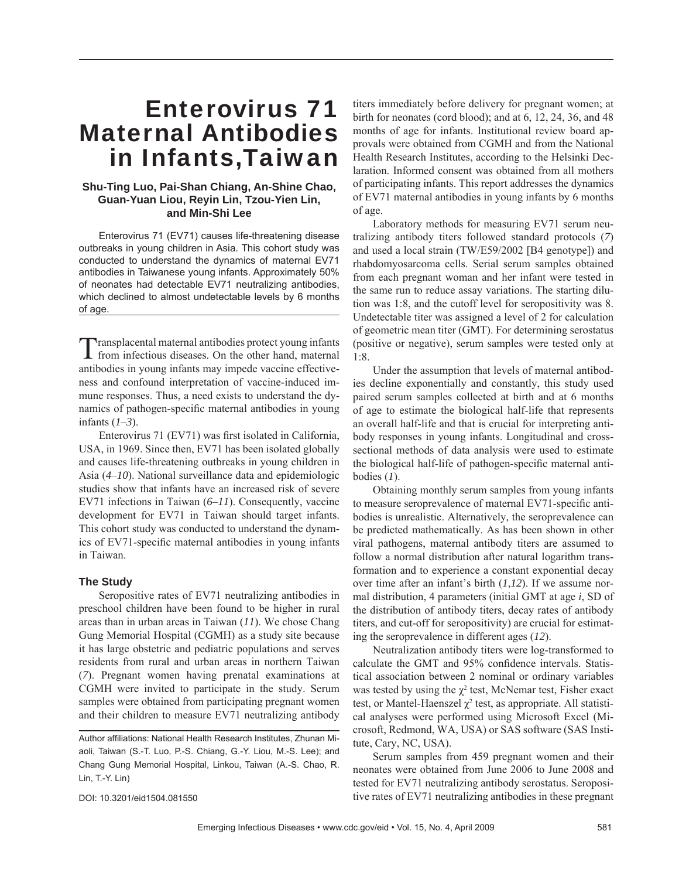# Enterovirus 71 Maternal Antibodies in Infants,Taiwan

## **Shu-Ting Luo, Pai-Shan Chiang, An-Shine Chao, Guan-Yuan Liou, Reyin Lin, Tzou-Yien Lin, and Min-Shi Lee**

Enterovirus 71 (EV71) causes life-threatening disease outbreaks in young children in Asia. This cohort study was conducted to understand the dynamics of maternal EV71 antibodies in Taiwanese young infants. Approximately 50% of neonates had detectable EV71 neutralizing antibodies, which declined to almost undetectable levels by 6 months of age.

Transplacental maternal antibodies protect young infants from infectious diseases. On the other hand, maternal antibodies in young infants may impede vaccine effectiveness and confound interpretation of vaccine-induced immune responses. Thus, a need exists to understand the dynamics of pathogen-specific maternal antibodies in young infants (*1*–*3*).

Enterovirus 71 (EV71) was first isolated in California, USA, in 1969. Since then, EV71 has been isolated globally and causes life-threatening outbreaks in young children in Asia (*4*–*10*). National surveillance data and epidemiologic studies show that infants have an increased risk of severe EV71 infections in Taiwan (*6*–*11*). Consequently, vaccine development for EV71 in Taiwan should target infants. This cohort study was conducted to understand the dynamics of EV71-specific maternal antibodies in young infants in Taiwan.

## **The Study**

Seropositive rates of EV71 neutralizing antibodies in preschool children have been found to be higher in rural areas than in urban areas in Taiwan (*11*). We chose Chang Gung Memorial Hospital (CGMH) as a study site because it has large obstetric and pediatric populations and serves residents from rural and urban areas in northern Taiwan (*7*). Pregnant women having prenatal examinations at CGMH were invited to participate in the study. Serum samples were obtained from participating pregnant women and their children to measure EV71 neutralizing antibody

DOI: 10.3201/eid1504.081550

titers immediately before delivery for pregnant women; at birth for neonates (cord blood); and at 6, 12, 24, 36, and 48 months of age for infants. Institutional review board approvals were obtained from CGMH and from the National Health Research Institutes, according to the Helsinki Declaration. Informed consent was obtained from all mothers of participating infants. This report addresses the dynamics of EV71 maternal antibodies in young infants by 6 months of age.

Laboratory methods for measuring EV71 serum neutralizing antibody titers followed standard protocols (*7*) and used a local strain (TW/E59/2002 [B4 genotype]) and rhabdomyosarcoma cells. Serial serum samples obtained from each pregnant woman and her infant were tested in the same run to reduce assay variations. The starting dilution was 1:8, and the cutoff level for seropositivity was 8. Undetectable titer was assigned a level of 2 for calculation of geometric mean titer (GMT). For determining serostatus (positive or negative), serum samples were tested only at 1:8.

Under the assumption that levels of maternal antibodies decline exponentially and constantly, this study used paired serum samples collected at birth and at 6 months of age to estimate the biological half-life that represents an overall half-life and that is crucial for interpreting antibody responses in young infants. Longitudinal and crosssectional methods of data analysis were used to estimate the biological half-life of pathogen-specific maternal antibodies (*1*).

Obtaining monthly serum samples from young infants to measure seroprevalence of maternal EV71-specific antibodies is unrealistic. Alternatively, the seroprevalence can be predicted mathematically. As has been shown in other viral pathogens, maternal antibody titers are assumed to follow a normal distribution after natural logarithm transformation and to experience a constant exponential decay over time after an infant's birth (*1*,*12*). If we assume normal distribution, 4 parameters (initial GMT at age *i*, SD of the distribution of antibody titers, decay rates of antibody titers, and cut-off for seropositivity) are crucial for estimating the seroprevalence in different ages (*12*).

Neutralization antibody titers were log-transformed to calculate the GMT and 95% confidence intervals. Statistical association between 2 nominal or ordinary variables was tested by using the  $\chi^2$  test, McNemar test, Fisher exact test, or Mantel-Haenszel  $\chi^2$  test, as appropriate. All statistical analyses were performed using Microsoft Excel (Microsoft, Redmond, WA, USA) or SAS software (SAS Institute, Cary, NC, USA).

Serum samples from 459 pregnant women and their neonates were obtained from June 2006 to June 2008 and tested for EV71 neutralizing antibody serostatus. Seropositive rates of EV71 neutralizing antibodies in these pregnant

Author affiliations: National Health Research Institutes, Zhunan Miaoli, Taiwan (S.-T. Luo, P.-S. Chiang, G.-Y. Liou, M.-S. Lee); and Chang Gung Memorial Hospital, Linkou, Taiwan (A.-S. Chao, R. Lin, T.-Y. Lin)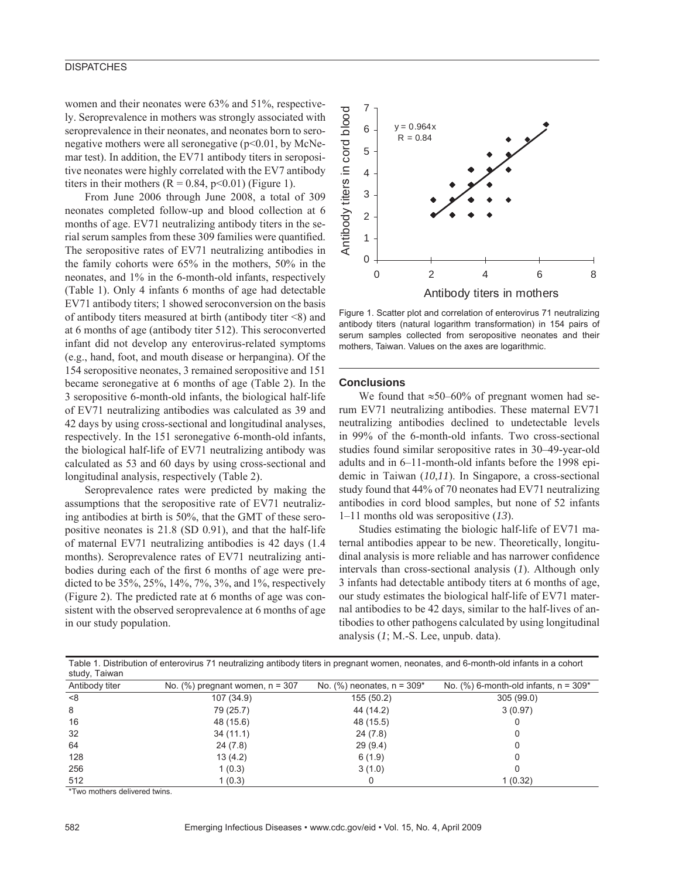## **DISPATCHES**

women and their neonates were 63% and 51%, respectively. Seroprevalence in mothers was strongly associated with seroprevalence in their neonates, and neonates born to seronegative mothers were all seronegative (p<0.01, by McNemar test). In addition, the EV71 antibody titers in seropositive neonates were highly correlated with the EV7 antibody titers in their mothers  $(R = 0.84, p < 0.01)$  (Figure 1).

From June 2006 through June 2008, a total of 309 neonates completed follow-up and blood collection at 6 months of age. EV71 neutralizing antibody titers in the serial serum samples from these 309 families were quantified. The seropositive rates of EV71 neutralizing antibodies in the family cohorts were 65% in the mothers, 50% in the neonates, and 1% in the 6-month-old infants, respectively (Table 1). Only 4 infants 6 months of age had detectable EV71 antibody titers; 1 showed seroconversion on the basis of antibody titers measured at birth (antibody titer <8) and at 6 months of age (antibody titer 512). This seroconverted infant did not develop any enterovirus-related symptoms (e.g., hand, foot, and mouth disease or herpangina). Of the 154 seropositive neonates, 3 remained seropositive and 151 became seronegative at 6 months of age (Table 2). In the 3 seropositive 6-month-old infants, the biological half-life of EV71 neutralizing antibodies was calculated as 39 and 42 days by using cross-sectional and longitudinal analyses, respectively. In the 151 seronegative 6-month-old infants, the biological half-life of EV71 neutralizing antibody was calculated as 53 and 60 days by using cross-sectional and longitudinal analysis, respectively (Table 2).

Seroprevalence rates were predicted by making the assumptions that the seropositive rate of EV71 neutralizing antibodies at birth is 50%, that the GMT of these seropositive neonates is 21.8 (SD 0.91), and that the half-life of maternal EV71 neutralizing antibodies is 42 days (1.4 months). Seroprevalence rates of EV71 neutralizing antibodies during each of the first 6 months of age were predicted to be 35%, 25%, 14%, 7%, 3%, and 1%, respectively (Figure 2). The predicted rate at 6 months of age was consistent with the observed seroprevalence at 6 months of age in our study population.



Figure 1. Scatter plot and correlation of enterovirus 71 neutralizing antibody titers (natural logarithm transformation) in 154 pairs of serum samples collected from seropositive neonates and their mothers, Taiwan. Values on the axes are logarithmic.

#### **Conclusions**

We found that  $\approx 50-60\%$  of pregnant women had serum EV71 neutralizing antibodies. These maternal EV71 neutralizing antibodies declined to undetectable levels in 99% of the 6-month-old infants. Two cross-sectional studies found similar seropositive rates in 30–49-year-old adults and in 6–11-month-old infants before the 1998 epidemic in Taiwan (*10*,*11*). In Singapore, a cross-sectional study found that 44% of 70 neonates had EV71 neutralizing antibodies in cord blood samples, but none of 52 infants 1–11 months old was seropositive (*13*).

Studies estimating the biologic half-life of EV71 maternal antibodies appear to be new. Theoretically, longitudinal analysis is more reliable and has narrower confidence intervals than cross-sectional analysis (*1*). Although only 3 infants had detectable antibody titers at 6 months of age, our study estimates the biological half-life of EV71 maternal antibodies to be 42 days, similar to the half-lives of antibodies to other pathogens calculated by using longitudinal analysis (*1*; M.-S. Lee, unpub. data).

| Table 1. Distribution of enterovirus 71 neutralizing antibody titers in pregnant women, neonates, and 6-month-old infants in a cohort<br>study, Taiwan |                                      |                                 |                                             |  |  |  |  |
|--------------------------------------------------------------------------------------------------------------------------------------------------------|--------------------------------------|---------------------------------|---------------------------------------------|--|--|--|--|
| Antibody titer                                                                                                                                         | No. $(\%)$ pregnant women, $n = 307$ | No. $(\%)$ neonates, $n = 309*$ | No. $(\%)$ 6-month-old infants, $n = 309^*$ |  |  |  |  |
| <8                                                                                                                                                     | 107 (34.9)                           | 155 (50.2)                      | 305(99.0)                                   |  |  |  |  |
| 8                                                                                                                                                      | 79 (25.7)                            | 44 (14.2)                       | 3(0.97)                                     |  |  |  |  |
| 16                                                                                                                                                     | 48 (15.6)                            | 48 (15.5)                       |                                             |  |  |  |  |
| 32                                                                                                                                                     | 34 (11.1)                            | 24 (7.8)                        | 0                                           |  |  |  |  |
| 64                                                                                                                                                     | 24(7.8)                              | 29(9.4)                         | 0                                           |  |  |  |  |
| 128                                                                                                                                                    | 13(4.2)                              | 6(1.9)                          |                                             |  |  |  |  |
| 256                                                                                                                                                    | 1(0.3)                               | 3(1.0)                          | ი                                           |  |  |  |  |
| 512                                                                                                                                                    | 1(0.3)                               |                                 | 1 (0.32)                                    |  |  |  |  |

\*Two mothers delivered twins.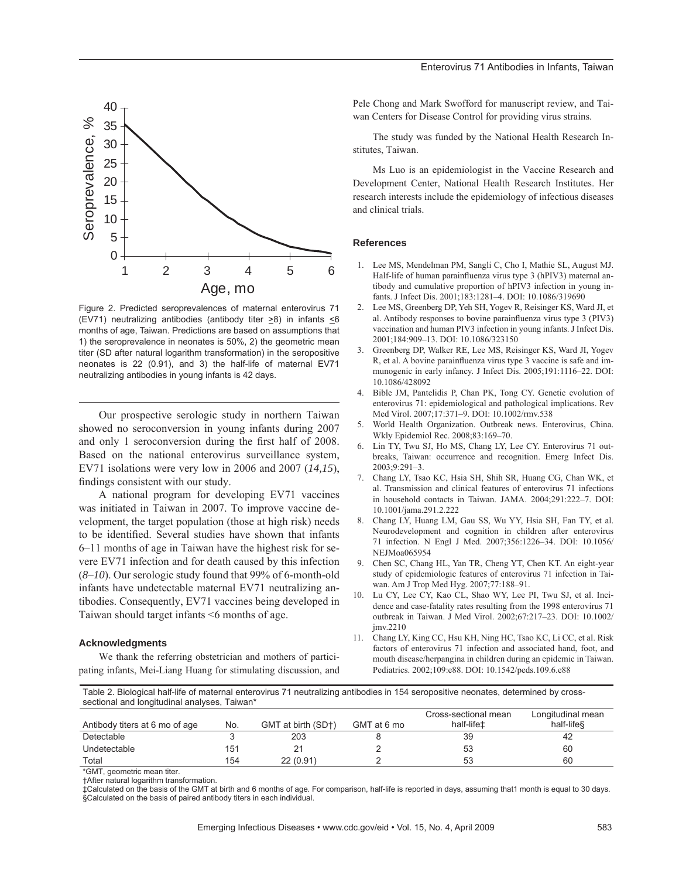

Figure 2. Predicted seroprevalences of maternal enterovirus 71 (EV71) neutralizing antibodies (antibody titer >8) in infants <6 months of age, Taiwan. Predictions are based on assumptions that 1) the seroprevalence in neonates is 50%, 2) the geometric mean titer (SD after natural logarithm transformation) in the seropositive neonates is 22 (0.91), and 3) the half-life of maternal EV71 neutralizing antibodies in young infants is 42 days.

Our prospective serologic study in northern Taiwan showed no seroconversion in young infants during 2007 and only 1 seroconversion during the first half of 2008. Based on the national enterovirus surveillance system, EV71 isolations were very low in 2006 and 2007 (*14,15*), findings consistent with our study.

A national program for developing EV71 vaccines was initiated in Taiwan in 2007. To improve vaccine development, the target population (those at high risk) needs to be identified. Several studies have shown that infants 6–11 months of age in Taiwan have the highest risk for severe EV71 infection and for death caused by this infection (*8*–*10*). Our serologic study found that 99% of 6-month-old infants have undetectable maternal EV71 neutralizing antibodies. Consequently, EV71 vaccines being developed in Taiwan should target infants <6 months of age.

#### **Acknowledgments**

We thank the referring obstetrician and mothers of participating infants, Mei-Liang Huang for stimulating discussion, and Pele Chong and Mark Swofford for manuscript review, and Taiwan Centers for Disease Control for providing virus strains.

The study was funded by the National Health Research Institutes, Taiwan.

Ms Luo is an epidemiologist in the Vaccine Research and Development Center, National Health Research Institutes. Her research interests include the epidemiology of infectious diseases and clinical trials.

### **References**

- 1. Lee MS, Mendelman PM, Sangli C, Cho I, Mathie SL, August MJ. Half-life of human parainfluenza virus type 3 (hPIV3) maternal antibody and cumulative proportion of hPIV3 infection in young infants. J Infect Dis. 2001;183:1281–4. DOI: 10.1086/319690
- 2. Lee MS, Greenberg DP, Yeh SH, Yogev R, Reisinger KS, Ward JI, et al. Antibody responses to bovine parainfluenza virus type 3 (PIV3) vaccination and human PIV3 infection in young infants. J Infect Dis. 2001;184:909–13. DOI: 10.1086/323150
- 3. Greenberg DP, Walker RE, Lee MS, Reisinger KS, Ward JI, Yogev R, et al. A bovine parainfluenza virus type 3 vaccine is safe and immunogenic in early infancy. J Infect Dis. 2005;191:1116–22. DOI: 10.1086/428092
- 4. Bible JM, Pantelidis P, Chan PK, Tong CY. Genetic evolution of enterovirus 71: epidemiological and pathological implications. Rev Med Virol. 2007;17:371–9. DOI: 10.1002/rmv.538
- 5. World Health Organization. Outbreak news. Enterovirus, China. Wkly Epidemiol Rec. 2008;83:169–70.
- 6. Lin TY, Twu SJ, Ho MS, Chang LY, Lee CY. Enterovirus 71 outbreaks, Taiwan: occurrence and recognition. Emerg Infect Dis.  $2003.9.291 - 3$
- 7. Chang LY, Tsao KC, Hsia SH, Shih SR, Huang CG, Chan WK, et al. Transmission and clinical features of enterovirus 71 infections in household contacts in Taiwan. JAMA. 2004;291:222–7. DOI: 10.1001/jama.291.2.222
- 8. Chang LY, Huang LM, Gau SS, Wu YY, Hsia SH, Fan TY, et al. Neurodevelopment and cognition in children after enterovirus 71 infection. N Engl J Med. 2007;356:1226–34. DOI: 10.1056/ NEJMoa065954
- 9. Chen SC, Chang HL, Yan TR, Cheng YT, Chen KT. An eight-year study of epidemiologic features of enterovirus 71 infection in Taiwan. Am J Trop Med Hyg. 2007;77:188–91.
- Lu CY, Lee CY, Kao CL, Shao WY, Lee PI, Twu SJ, et al. Incidence and case-fatality rates resulting from the 1998 enterovirus 71 outbreak in Taiwan. J Med Virol. 2002;67:217–23. DOI: 10.1002/ jmv.2210
- 11. Chang LY, King CC, Hsu KH, Ning HC, Tsao KC, Li CC, et al. Risk factors of enterovirus 71 infection and associated hand, foot, and mouth disease/herpangina in children during an epidemic in Taiwan. Pediatrics. 2002;109:e88. DOI: 10.1542/peds.109.6.e88

Table 2. Biological half-life of maternal enterovirus 71 neutralizing antibodies in 154 seropositive neonates, determined by crosssectional and longitudinal analyses, Taiwan\*

|                                |     |                    |             | Cross-sectional mean   | Longitudinal mean      |
|--------------------------------|-----|--------------------|-------------|------------------------|------------------------|
| Antibody titers at 6 mo of age | No. | GMT at birth (SD+) | GMT at 6 mo | half-life <sup>±</sup> | half-life <sup>§</sup> |
| Detectable                     |     | 203                |             | 39                     | 42                     |
| Undetectable                   | 151 |                    |             | 53                     | 60                     |
| Total                          | 154 | 22 (0.91)          |             | 53                     | 60                     |

\*GMT, geometric mean titer.

†After natural logarithm transformation.

‡Calculated on the basis of the GMT at birth and 6 months of age. For comparison, half-life is reported in days, assuming that1 month is equal to 30 days. §Calculated on the basis of paired antibody titers in each individual.